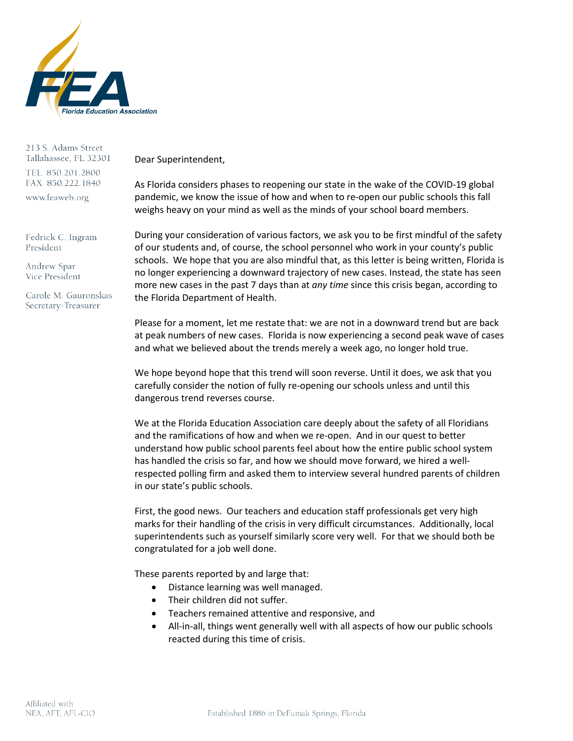

213 S. Adams Street Tallahassee, FL 32301 TEL 850.201.2800 FAX 850.222.1840 www.feaweb.org

Fedrick C. Ingram President

Andrew Spar Vice President

Carole M. Gauronskas Secretary-Treasurer

Dear Superintendent,

As Florida considers phases to reopening our state in the wake of the COVID-19 global pandemic, we know the issue of how and when to re-open our public schools this fall weighs heavy on your mind as well as the minds of your school board members.

During your consideration of various factors, we ask you to be first mindful of the safety of our students and, of course, the school personnel who work in your county's public schools. We hope that you are also mindful that, as this letter is being written, Florida is no longer experiencing a downward trajectory of new cases. Instead, the state has seen more new cases in the past 7 days than at *any time* since this crisis began, according to the Florida Department of Health.

Please for a moment, let me restate that: we are not in a downward trend but are back at peak numbers of new cases. Florida is now experiencing a second peak wave of cases and what we believed about the trends merely a week ago, no longer hold true.

We hope beyond hope that this trend will soon reverse. Until it does, we ask that you carefully consider the notion of fully re-opening our schools unless and until this dangerous trend reverses course.

We at the Florida Education Association care deeply about the safety of all Floridians and the ramifications of how and when we re-open. And in our quest to better understand how public school parents feel about how the entire public school system has handled the crisis so far, and how we should move forward, we hired a wellrespected polling firm and asked them to interview several hundred parents of children in our state's public schools.

First, the good news. Our teachers and education staff professionals get very high marks for their handling of the crisis in very difficult circumstances. Additionally, local superintendents such as yourself similarly score very well. For that we should both be congratulated for a job well done.

These parents reported by and large that:

- Distance learning was well managed.
- Their children did not suffer.
- Teachers remained attentive and responsive, and
- All-in-all, things went generally well with all aspects of how our public schools reacted during this time of crisis.